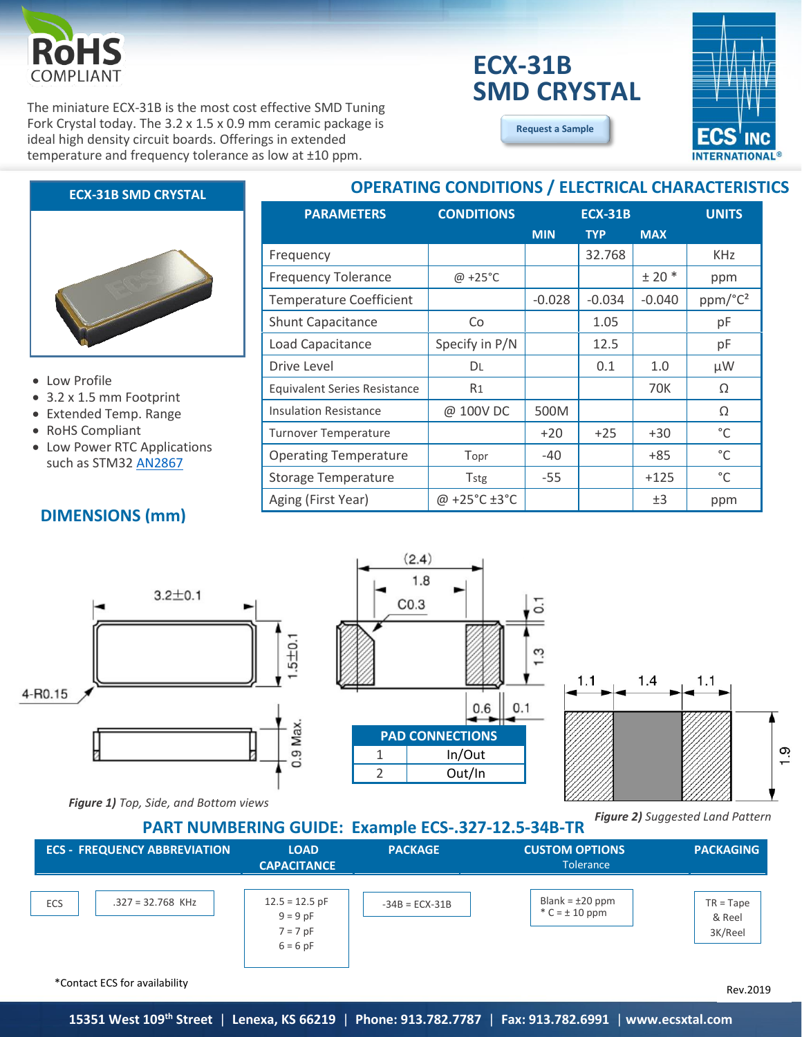

The miniature ECX-31B is the most cost effective SMD Tuning Fork Crystal today. The 3.2 x 1.5 x 0.9 mm ceramic package is ideal high density circuit boards. Offerings in extended temperature and frequency tolerance as low at ±10 ppm.

# **ECX-31B SMD CRYSTAL**

**[Request a Sample](http://ecsxtalportal.com/samplepilot/samplerequest.php)**

**OPERATING CONDITIONS / ELECTRICAL CHARACTERISTICS**



## **ECX-31B SMD CRYSTAL**



#### • Low Profile

- 3.2 x 1.5 mm Footprint
- Extended Temp. Range
- RoHS Compliant
- Low Power RTC Applications such as STM32 [AN2867](http://www.st.com/content/ccc/resource/technical/document/application_note/c6/eb/5e/11/e3/69/43/eb/CD00221665.pdf/files/CD00221665.pdf/jcr:content/translations/en.CD00221665.pdf)

## **DIMENSIONS (mm)**

| <b>PARAMETERS</b>                   | <b>CONDITIONS</b> | <b>ECX-31B</b> |            |            | <b>UNITS</b>        |
|-------------------------------------|-------------------|----------------|------------|------------|---------------------|
|                                     |                   | <b>MIN</b>     | <b>TYP</b> | <b>MAX</b> |                     |
| Frequency                           |                   |                | 32.768     |            | <b>KHz</b>          |
| <b>Frequency Tolerance</b>          | $\omega$ +25°C    |                |            | $± 20$ *   | ppm                 |
| <b>Temperature Coefficient</b>      |                   | $-0.028$       | $-0.034$   | $-0.040$   | ppm/°C <sup>2</sup> |
| Shunt Capacitance                   | Co                |                | 1.05       |            | pF                  |
| Load Capacitance                    | Specify in P/N    |                | 12.5       |            | pF                  |
| Drive Level                         | DL                |                | 0.1        | 1.0        | μW                  |
| <b>Equivalent Series Resistance</b> | R <sub>1</sub>    |                |            | 70K        | Ω                   |
| <b>Insulation Resistance</b>        | @ 100V DC         | 500M           |            |            | Ω                   |
| <b>Turnover Temperature</b>         |                   | $+20$          | $+25$      | $+30$      | °C                  |
| <b>Operating Temperature</b>        | Topr              | -40            |            | $+85$      | $^{\circ}$ C        |
| <b>Storage Temperature</b>          | <b>Tstg</b>       | $-55$          |            | $+125$     | $^{\circ}$ C        |
| Aging (First Year)                  | @ +25°C ±3°C      |                |            | ±3         | ppm                 |







*Figure 1) Top, Side, and Bottom views*

**PART NUMBERING GUIDE: Example ECS-.327-12.5-34B-TR**

*Figure 2) Suggested Land Pattern*



\*Contact ECS for availability

Rev.2019